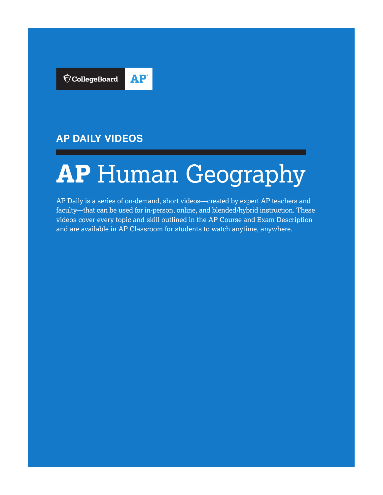

### **AP DAILY VIDEOS**

# **AP** Human Geography

AP Daily is a series of on-demand, short videos—created by expert AP teachers and faculty—that can be used for in-person, online, and blended/hybrid instruction. These videos cover every topic and skill outlined in the AP Course and Exam Description and are available in AP Classroom for students to watch anytime, anywhere.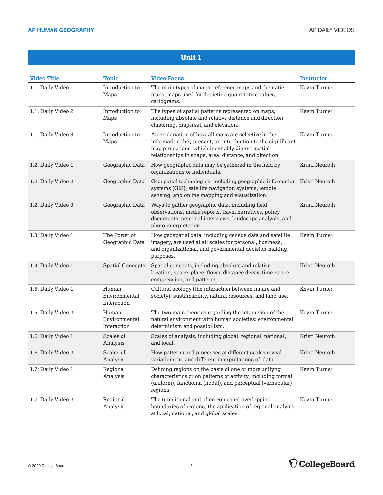| <b>Video Title</b> | <b>Topic</b>                           | <b>Video Focus</b>                                                                                                                                                                                                                 | <b>Instructor</b> |
|--------------------|----------------------------------------|------------------------------------------------------------------------------------------------------------------------------------------------------------------------------------------------------------------------------------|-------------------|
| 1.1: Daily Video 1 | Introduction to<br>Maps                | The main types of maps: reference maps and thematic<br>maps; maps used for depicting quantitative values;<br>cartograms.                                                                                                           | Kevin Turner      |
| 1.1: Daily Video 2 | Introduction to<br>Maps                | The types of spatial patterns represented on maps,<br>including absolute and relative distance and direction,<br>clustering, dispersal, and elevation.                                                                             | Kevin Turner      |
| 1.1: Daily Video 3 | Introduction to<br>Maps                | An explanation of how all maps are selective in the<br>information they present; an introduction to the significant<br>map projections, which inevitably distort spatial<br>relationships in shape, area, distance, and direction. | Kevin Turner      |
| 1.2: Daily Video 1 | Geographic Data                        | How geographic data may be gathered in the field by<br>organizations or individuals.                                                                                                                                               | Kristi Neuroth    |
| 1.2: Daily Video 2 | Geographic Data                        | Geospatial technologies, including geographic information Kristi Neuroth<br>systems (GIS), satellite navigation systems, remote<br>sensing, and online mapping and visualization.                                                  |                   |
| 1.2: Daily Video 3 | Geographic Data                        | Ways to gather geographic data, including field<br>observations, media reports, travel narratives, policy<br>documents, personal interviews, landscape analysis, and<br>photo interpretation.                                      | Kristi Neuroth    |
| 1.3: Daily Video 1 | The Power of<br>Geographic Data        | How geospatial data, including census data and satellite<br>imagery, are used at all scales for personal, business,<br>and organizational, and governmental decision-making<br>purposes.                                           | Kevin Turner      |
| 1.4: Daily Video 1 | <b>Spatial Concepts</b>                | Spatial concepts, including absolute and relative<br>location, space, place, flows, distance decay, time-space<br>compression, and patterns.                                                                                       | Kristi Neuroth    |
| 1.5: Daily Video 1 | Human-<br>Environmental<br>Interaction | Cultural ecology (the interaction between nature and<br>society); sustainability, natural resources, and land use.                                                                                                                 | Kevin Turner      |
| 1.5: Daily Video 2 | Human-<br>Environmental<br>Interaction | The two main theories regarding the interaction of the<br>natural environment with human societies: environmental<br>determinism and possibilism.                                                                                  | Kevin Turner      |
| 1.6: Daily Video 1 | Scales of<br>Analysis                  | Scales of analysis, including global, regional, national,<br>and local.                                                                                                                                                            | Kristi Neuroth    |
| 1.6: Daily Video 2 | Scales of<br>Analysis                  | How patterns and processes at different scales reveal<br>variations in, and different interpretations of, data.                                                                                                                    | Kristi Neuroth    |
| 1.7: Daily Video 1 | Regional<br>Analysis                   | Defining regions on the basis of one or more unifyng<br>characteristics or on patterns of activity, including formal<br>(uniform), functional (nodal), and perceptual (vernacular)<br>regions.                                     | Kevin Turner      |
| 1.7: Daily Video 2 | Regional<br>Analysis                   | The transitional and often contested overlapping<br>boundaries of regions; the application of regional analysis<br>at local, national, and global scales.                                                                          | Kevin Turner      |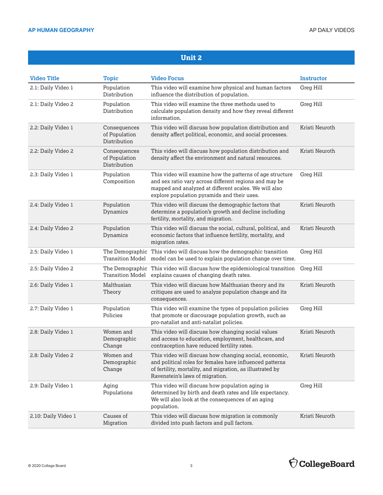| <b>Video Title</b>  | <b>Topic</b>                                  | <b>Video Focus</b>                                                                                                                                                                                                          | <b>Instructor</b> |
|---------------------|-----------------------------------------------|-----------------------------------------------------------------------------------------------------------------------------------------------------------------------------------------------------------------------------|-------------------|
| 2.1: Daily Video 1  | Population<br>Distribution                    | This video will examine how physical and human factors<br>influence the distribution of population.                                                                                                                         | Greg Hill         |
| 2.1: Daily Video 2  | Population<br>Distribution                    | This video will examine the three methods used to<br>calculate population density and how they reveal different<br>information.                                                                                             | Greg Hill         |
| 2.2: Daily Video 1  | Consequences<br>of Population<br>Distribution | This video will discuss how population distribution and<br>density affect political, economic, and social processes.                                                                                                        | Kristi Neuroth    |
| 2.2: Daily Video 2  | Consequences<br>of Population<br>Distribution | This video will discuss how population distribution and<br>density affect the environment and natural resources.                                                                                                            | Kristi Neuroth    |
| 2.3: Daily Video 1  | Population<br>Composition                     | This video will examine how the patterns of age structure<br>and sex ratio vary across different regions and may be<br>mapped and analyzed at different scales. We will also<br>explore population pyramids and their uses. | Greg Hill         |
| 2.4: Daily Video 1  | Population<br>Dynamics                        | This video will discuss the demographic factors that<br>determine a population's growth and decline including<br>fertility, mortality, and migration.                                                                       | Kristi Neuroth    |
| 2.4: Daily Video 2  | Population<br>Dynamics                        | This video will discuss the social, cultural, political, and<br>economic factors that influence fertility, mortality, and<br>migration rates.                                                                               | Kristi Neuroth    |
| 2.5: Daily Video 1  | Transition Model                              | The Demographic This video will discuss how the demographic transition<br>model can be used to explain population change over time.                                                                                         | Greg Hill         |
| 2.5: Daily Video 2  | Transition Model                              | The Demographic This video will discuss how the epidemiological transition<br>explains causes of changing death rates.                                                                                                      | Greg Hill         |
| 2.6: Daily Video 1  | Malthusian<br>Theory                          | This video will discuss how Malthusian theory and its<br>critiques are used to analyze population change and its<br>consequences.                                                                                           | Kristi Neuroth    |
| 2.7: Daily Video 1  | Population<br>Policies                        | This video will examine the types of population policies<br>that promote or discourage population growth, such as<br>pro-natalist and anti-natalist policies.                                                               | Greg Hill         |
| 2.8: Daily Video 1  | Women and<br>Demographic<br>Change            | This video will discuss how changing social values<br>and access to education, employment, healthcare, and<br>contraception have reduced fertility rates.                                                                   | Kristi Neuroth    |
| 2.8: Daily Video 2  | Women and<br>Demographic<br>Change            | This video will discuss how changing social, economic,<br>and political roles for females have influenced patterns<br>of fertility, mortality, and migration, as illustrated by<br>Ravenstein's laws of migration.          | Kristi Neuroth    |
| 2.9: Daily Video 1  | Aging<br>Populations                          | This video will discuss how population aging is<br>determined by birth and death rates and life expectancy.<br>We will also look at the consequences of an aging<br>population.                                             | Greg Hill         |
| 2.10: Daily Video 1 | Causes of<br>Migration                        | This video will discuss how migration is commonly<br>divided into push factors and pull factors.                                                                                                                            | Kristi Neuroth    |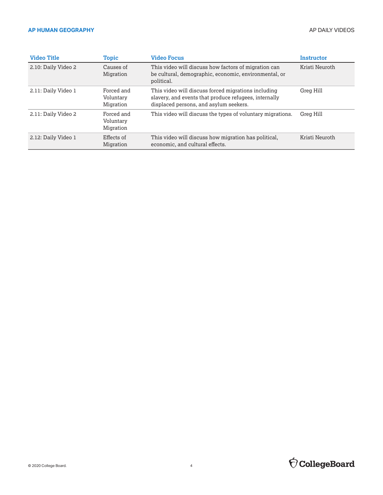| <b>Video Title</b>  | Topic                                | <b>Video Focus</b>                                                                                                                                     | <b>Instructor</b> |
|---------------------|--------------------------------------|--------------------------------------------------------------------------------------------------------------------------------------------------------|-------------------|
| 2.10: Daily Video 2 | Causes of<br>Migration               | This video will discuss how factors of migration can<br>be cultural, demographic, economic, environmental, or<br>political.                            | Kristi Neuroth    |
| 2.11: Daily Video 1 | Forced and<br>Voluntary<br>Migration | This video will discuss forced migrations including<br>slavery, and events that produce refugees, internally<br>displaced persons, and asylum seekers. | Greg Hill         |
| 2.11: Daily Video 2 | Forced and<br>Voluntary<br>Migration | This video will discuss the types of voluntary migrations.                                                                                             | Greg Hill         |
| 2.12: Daily Video 1 | Effects of<br>Migration              | This video will discuss how migration has political,<br>economic, and cultural effects.                                                                | Kristi Neuroth    |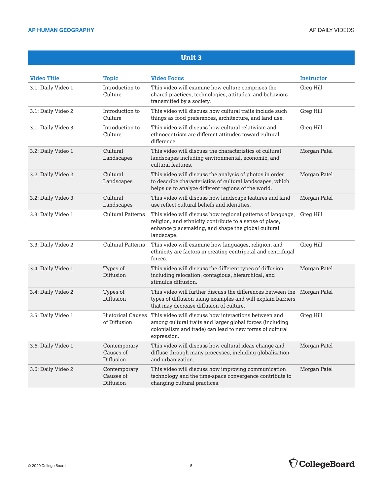| <b>Video Title</b> | Topic                                    | <b>Video Focus</b>                                                                                                                                                                           | <b>Instructor</b> |
|--------------------|------------------------------------------|----------------------------------------------------------------------------------------------------------------------------------------------------------------------------------------------|-------------------|
| 3.1: Daily Video 1 | Introduction to<br>Culture               | This video will examine how culture comprises the<br>shared practices, technologies, attitudes, and behaviors<br>transmitted by a society.                                                   | Greg Hill         |
| 3.1: Daily Video 2 | Introduction to<br>Culture               | This video will discuss how cultural traits include such<br>things as food preferences, architecture, and land use.                                                                          | Greg Hill         |
| 3.1: Daily Video 3 | Introduction to<br>Culture               | This video will discuss how cultural relativism and<br>ethnocentrism are different attitudes toward cultural<br>difference.                                                                  | Greg Hill         |
| 3.2: Daily Video 1 | Cultural<br>Landscapes                   | This video will discuss the characteristics of cultural<br>landscapes including environmental, economic, and<br>cultural features.                                                           | Morgan Patel      |
| 3.2: Daily Video 2 | Cultural<br>Landscapes                   | This video will discuss the analysis of photos in order<br>to describe characteristics of cultural landscapes, which<br>helps us to analyze different regions of the world.                  | Morgan Patel      |
| 3.2: Daily Video 3 | Cultural<br>Landscapes                   | This video will discuss how landscape features and land<br>use reflect cultural beliefs and identities.                                                                                      | Morgan Patel      |
| 3.3: Daily Video 1 | <b>Cultural Patterns</b>                 | This video will discuss how regional patterns of language,<br>religion, and ethnicity contribute to a sense of place,<br>enhance placemaking, and shape the global cultural<br>landscape.    | Greg Hill         |
| 3.3: Daily Video 2 | <b>Cultural Patterns</b>                 | This video will examine how languages, religion, and<br>ethnicity are factors in creating centripetal and centrifugal<br>forces.                                                             | Greg Hill         |
| 3.4: Daily Video 1 | Types of<br>Diffusion                    | This video will discuss the different types of diffusion<br>including relocation, contagious, hierarchical, and<br>stimulus diffusion.                                                       | Morgan Patel      |
| 3.4: Daily Video 2 | Types of<br>Diffusion                    | This video will further discuss the differences between the Morgan Patel<br>types of diffusion using examples and will explain barriers<br>that may decrease diffusion of culture.           |                   |
| 3.5: Daily Video 1 | <b>Historical Causes</b><br>of Diffusion | This video will discuss how interactions between and<br>among cultural traits and larger global forces (including<br>colonialism and trade) can lead to new forms of cultural<br>expression. | Greg Hill         |
| 3.6: Daily Video 1 | Contemporary<br>Causes of<br>Diffusion   | This video will discuss how cultural ideas change and<br>diffuse through many processes, including globalization<br>and urbanization.                                                        | Morgan Patel      |
| 3.6: Daily Video 2 | Contemporary<br>Causes of<br>Diffusion   | This video will discuss how improving communication<br>technology and the time-space convergence contribute to<br>changing cultural practices.                                               | Morgan Patel      |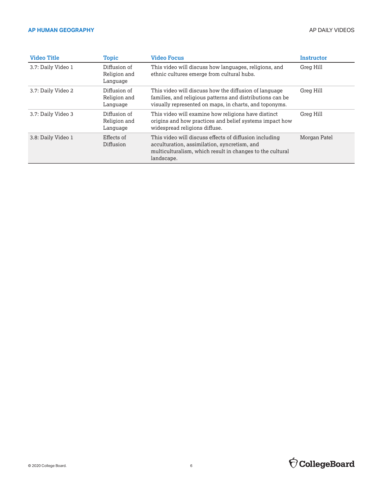| <b>Video Title</b> | Topic                                    | <b>Video Focus</b>                                                                                                                                                                | <b>Instructor</b> |
|--------------------|------------------------------------------|-----------------------------------------------------------------------------------------------------------------------------------------------------------------------------------|-------------------|
| 3.7: Daily Video 1 | Diffusion of<br>Religion and<br>Language | This video will discuss how languages, religions, and<br>ethnic cultures emerge from cultural hubs.                                                                               | Greg Hill         |
| 3.7: Daily Video 2 | Diffusion of<br>Religion and<br>Language | This video will discuss how the diffusion of language<br>families, and religious patterns and distributions can be<br>visually represented on maps, in charts, and toponyms.      | Greg Hill         |
| 3.7: Daily Video 3 | Diffusion of<br>Religion and<br>Language | This video will examine how religions have distinct<br>origins and how practices and belief systems impact how<br>widespread religions diffuse.                                   | Greg Hill         |
| 3.8: Daily Video 1 | Effects of<br>Diffusion                  | This video will discuss effects of diffusion including<br>acculturation, assimilation, syncretism, and<br>multiculturalism, which result in changes to the cultural<br>landscape. | Morgan Patel      |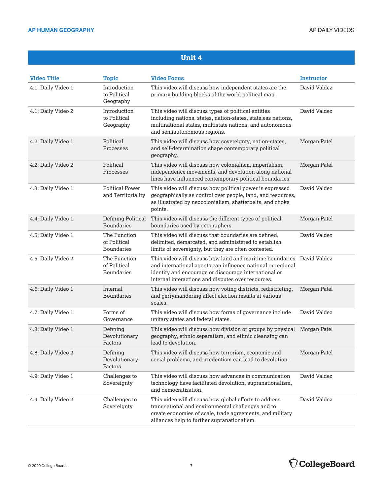| <b>Video Title</b> | <b>Topic</b>                                      | <b>Video Focus</b>                                                                                                                                                                                                                                  | <b>Instructor</b> |
|--------------------|---------------------------------------------------|-----------------------------------------------------------------------------------------------------------------------------------------------------------------------------------------------------------------------------------------------------|-------------------|
| 4.1: Daily Video 1 | Introduction<br>to Political<br>Geography         | This video will discuss how independent states are the<br>primary building blocks of the world political map.                                                                                                                                       | David Valdez      |
| 4.1: Daily Video 2 | Introduction<br>to Political<br>Geography         | This video will discuss types of political entities<br>including nations, states, nation-states, stateless nations,<br>multinational states, multistate nations, and autonomous<br>and semiautonomous regions.                                      | David Valdez      |
| 4.2: Daily Video 1 | Political<br>Processes                            | This video will discuss how sovereignty, nation-states,<br>and self-determination shape contemporary political<br>geography.                                                                                                                        | Morgan Patel      |
| 4.2: Daily Video 2 | Political<br>Processes                            | This video will discuss how colonialism, imperialism,<br>independence movements, and devolution along national<br>lines have influenced contemporary political boundaries.                                                                          | Morgan Patel      |
| 4.3: Daily Video 1 | <b>Political Power</b><br>and Territoriality      | This video will discuss how political power is expressed<br>geographically as control over people, land, and resources,<br>as illustrated by neocolonialism, shatterbelts, and choke<br>points.                                                     | David Valdez      |
| 4.4: Daily Video 1 | Defining Political<br><b>Boundaries</b>           | This video will discuss the different types of political<br>boundaries used by geographers.                                                                                                                                                         | Morgan Patel      |
| 4.5: Daily Video 1 | The Function<br>of Political<br><b>Boundaries</b> | This video will discuss that boundaries are defined,<br>delimited, demarcated, and administered to establish<br>limits of sovereignty, but they are often contested.                                                                                | David Valdez      |
| 4.5: Daily Video 2 | The Function<br>of Political<br><b>Boundaries</b> | This video will discuss how land and maritime boundaries David Valdez<br>and international agents can influence national or regional<br>identity and encourage or discourage international or<br>internal interactions and disputes over resources. |                   |
| 4.6: Daily Video 1 | Internal<br><b>Boundaries</b>                     | This video will discuss how voting districts, redistricting,<br>and gerrymandering affect election results at various<br>scales.                                                                                                                    | Morgan Patel      |
| 4.7: Daily Video 1 | Forms of<br>Governance                            | This video will discuss how forms of governance include<br>unitary states and federal states.                                                                                                                                                       | David Valdez      |
| 4.8: Daily Video 1 | Defining<br>Devolutionary<br>Factors              | This video will discuss how division of groups by physical<br>geography, ethnic separatism, and ethnic cleansing can<br>lead to devolution.                                                                                                         | Morgan Patel      |
| 4.8: Daily Video 2 | Defining<br>Devolutionary<br>Factors              | This video will discuss how terrorism, economic and<br>social problems, and irredentism can lead to devolution.                                                                                                                                     | Morgan Patel      |
| 4.9: Daily Video 1 | Challenges to<br>Sovereignty                      | This video will discuss how advances in communication<br>technology have facilitated devolution, supranationalism,<br>and democratization.                                                                                                          | David Valdez      |
| 4.9: Daily Video 2 | Challenges to<br>Sovereignty                      | This video will discuss how global efforts to address<br>transnational and environmental challenges and to<br>create economies of scale, trade agreements, and military<br>alliances help to further supranationalism.                              | David Valdez      |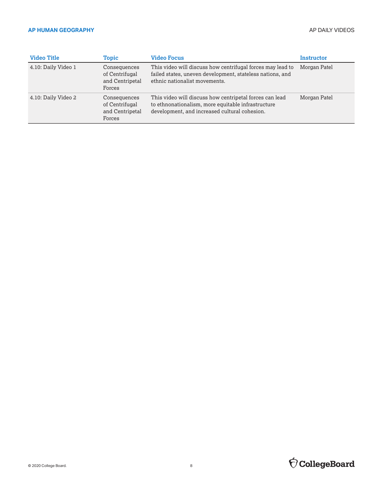| <b>Video Title</b>  | <b>Topic</b>                                                | <b>Video Focus</b>                                                                                                                                             | Instructor   |
|---------------------|-------------------------------------------------------------|----------------------------------------------------------------------------------------------------------------------------------------------------------------|--------------|
| 4.10: Daily Video 1 | Consequences<br>of Centrifugal<br>and Centripetal<br>Forces | This video will discuss how centrifugal forces may lead to<br>failed states, uneven development, stateless nations, and<br>ethnic nationalist movements.       | Morgan Patel |
| 4.10: Daily Video 2 | Consequences<br>of Centrifugal<br>and Centripetal<br>Forces | This video will discuss how centripetal forces can lead<br>to ethnonationalism, more equitable infrastructure<br>development, and increased cultural cohesion. | Morgan Patel |

## $\bigcirc$  CollegeBoard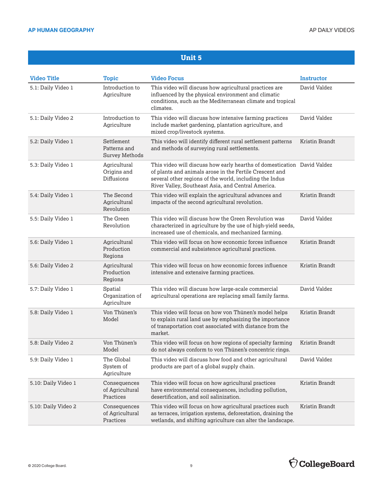| <b>Video Title</b>  | <b>Topic</b>                                        | <b>Video Focus</b>                                                                                                                                                                                                                                  | <b>Instructor</b> |
|---------------------|-----------------------------------------------------|-----------------------------------------------------------------------------------------------------------------------------------------------------------------------------------------------------------------------------------------------------|-------------------|
| 5.1: Daily Video 1  | Introduction to<br>Agriculture                      | This video will discuss how agricultural practices are<br>influenced by the physical environment and climatic<br>conditions, such as the Mediterranean climate and tropical<br>climates.                                                            | David Valdez      |
| 5.1: Daily Video 2  | Introduction to<br>Agriculture                      | This video will discuss how intensive farming practices<br>include market gardening, plantation agriculture, and<br>mixed crop/livestock systems.                                                                                                   | David Valdez      |
| 5.2: Daily Video 1  | Settlement<br>Patterns and<br><b>Survey Methods</b> | This video will identify different rural settlement patterns<br>and methods of surveying rural settlements.                                                                                                                                         | Kristin Brandt    |
| 5.3: Daily Video 1  | Agricultural<br>Origins and<br>Diffusions           | This video will discuss how early hearths of domestication David Valdez<br>of plants and animals arose in the Fertile Crescent and<br>several other regions of the world, including the Indus<br>River Valley, Southeast Asia, and Central America. |                   |
| 5.4: Daily Video 1  | The Second<br>Agricultural<br>Revolution            | This video will explain the agricultural advances and<br>impacts of the second agricultural revolution.                                                                                                                                             | Kristin Brandt    |
| 5.5: Daily Video 1  | The Green<br>Revolution                             | This video will discuss how the Green Revolution was<br>characterized in agriculture by the use of high-yield seeds,<br>increased use of chemicals, and mechanized farming.                                                                         | David Valdez      |
| 5.6: Daily Video 1  | Agricultural<br>Production<br>Regions               | This video will focus on how economic forces influence<br>commercial and subsistence agricultural practices.                                                                                                                                        | Kristin Brandt    |
| 5.6: Daily Video 2  | Agricultural<br>Production<br>Regions               | This video will focus on how economic forces influence<br>intensive and extensive farming practices.                                                                                                                                                | Kristin Brandt    |
| 5.7: Daily Video 1  | Spatial<br>Organization of<br>Agriculture           | This video will discuss how large-scale commercial<br>agricultural operations are replacing small family farms.                                                                                                                                     | David Valdez      |
| 5.8: Daily Video 1  | Von Thünen's<br>Model                               | This video will focus on how von Thünen's model helps<br>to explain rural land use by emphasizing the importance<br>of transportation cost associated with distance from the<br>market.                                                             | Kristin Brandt    |
| 5.8: Daily Video 2  | Von Thünen's<br>Model                               | This video will focus on how regions of specialty farming<br>do not always conform to von Thünen's concentric rings.                                                                                                                                | Kristin Brandt    |
| 5.9: Daily Video 1  | The Global<br>System of<br>Agriculture              | This video will discuss how food and other agricultural<br>products are part of a global supply chain.                                                                                                                                              | David Valdez      |
| 5.10: Daily Video 1 | Consequences<br>of Agricultural<br>Practices        | This video will focus on how agricultural practices<br>have environmental consequences, including pollution,<br>desertification, and soil salinization.                                                                                             | Kristin Brandt    |
| 5.10: Daily Video 2 | Consequences<br>of Agricultural<br>Practices        | This video will focus on how agricultural practices such<br>as terraces, irrigation systems, deforestation, draining the<br>wetlands, and shifting agriculture can alter the landscape.                                                             | Kristin Brandt    |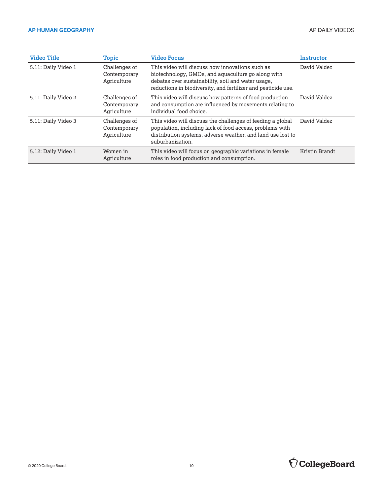| <b>Video Title</b>  | <b>Topic</b>                                 | <b>Video Focus</b>                                                                                                                                                                                                           | Instructor     |
|---------------------|----------------------------------------------|------------------------------------------------------------------------------------------------------------------------------------------------------------------------------------------------------------------------------|----------------|
| 5.11: Daily Video 1 | Challenges of<br>Contemporary<br>Agriculture | This video will discuss how innovations such as<br>biotechnology, GMOs, and aquaculture go along with<br>debates over sustainability, soil and water usage,<br>reductions in biodiversity, and fertilizer and pesticide use. | David Valdez   |
| 5.11: Daily Video 2 | Challenges of<br>Contemporary<br>Agriculture | This video will discuss how patterns of food production<br>and consumption are influenced by movements relating to<br>individual food choice.                                                                                | David Valdez   |
| 5.11: Daily Video 3 | Challenges of<br>Contemporary<br>Agriculture | This video will discuss the challenges of feeding a global<br>population, including lack of food access, problems with<br>distribution systems, adverse weather, and land use lost to<br>suburbanization.                    | David Valdez   |
| 5.12: Daily Video 1 | Women in<br>Agriculture                      | This video will focus on geographic variations in female<br>roles in food production and consumption.                                                                                                                        | Kristin Brandt |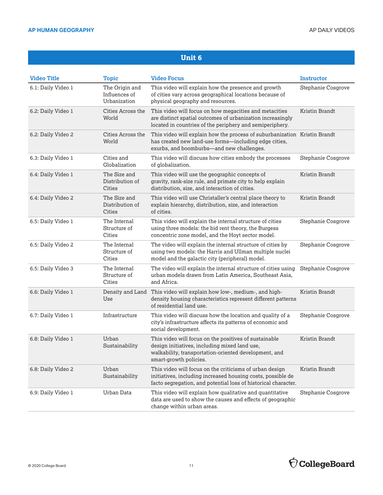| <b>Video Title</b> | <b>Topic</b>                                    | <b>Video Focus</b>                                                                                                                                                                        | Instructor         |
|--------------------|-------------------------------------------------|-------------------------------------------------------------------------------------------------------------------------------------------------------------------------------------------|--------------------|
| 6.1: Daily Video 1 | The Origin and<br>Influences of<br>Urbanization | This video will explain how the presence and growth<br>of cities vary across geographical locations because of<br>physical geography and resources.                                       | Stephanie Cosgrove |
| 6.2: Daily Video 1 | Cities Across the<br>World                      | This video will focus on how megacities and metacities<br>are distinct spatial outcomes of urbanization increasingly<br>located in countries of the periphery and semiperiphery.          | Kristin Brandt     |
| 6.2: Daily Video 2 | Cities Across the<br>World                      | This video will explain how the process of suburbanization Kristin Brandt<br>has created new land-use forms-including edge cities,<br>exurbs, and boomburbs-and new challenges.           |                    |
| 6.3: Daily Video 1 | Cities and<br>Globalization                     | This video will discuss how cities embody the processes<br>of globalization.                                                                                                              | Stephanie Cosgrove |
| 6.4: Daily Video 1 | The Size and<br>Distribution of<br>Cities       | This video will use the geographic concepts of<br>gravity, rank-size rule, and primate city to help explain<br>distribution, size, and interaction of cities.                             | Kristin Brandt     |
| 6.4: Daily Video 2 | The Size and<br>Distribution of<br>Cities       | This video will use Christaller's central place theory to<br>explain hierarchy, distribution, size, and interaction<br>of cities.                                                         | Kristin Brandt     |
| 6.5: Daily Video 1 | The Internal<br>Structure of<br>Cities          | This video will explain the internal structure of cities<br>using three models: the bid rent theory, the Burgess<br>concentric zone model, and the Hoyt sector model.                     | Stephanie Cosgrove |
| 6.5: Daily Video 2 | The Internal<br>Structure of<br>Cities          | The video will explain the internal structure of cities by<br>using two models: the Harris and Ullman multiple nuclei<br>model and the galactic city (peripheral) model.                  | Stephanie Cosgrove |
| 6.5: Daily Video 3 | The Internal<br>Structure of<br>Cities          | The video will explain the internal structure of cities using<br>urban models drawn from Latin America, Southeast Asia,<br>and Africa.                                                    | Stephanie Cosgrove |
| 6.6: Daily Video 1 | Density and Land<br>Use                         | This video will explain how low-, medium-, and high-<br>density housing characteristics represent different patterns<br>of residential land use.                                          | Kristin Brandt     |
| 6.7: Daily Video 1 | Infrastructure                                  | This video will discuss how the location and quality of a<br>city's infrastructure affects its patterns of economic and<br>social development.                                            | Stephanie Cosgrove |
| 6.8: Daily Video 1 | Urban<br>Sustainability                         | This video will focus on the positives of sustainable<br>design initiatives, including mixed land use,<br>walkability, transportation-oriented development, and<br>smart-growth policies. | Kristin Brandt     |
| 6.8: Daily Video 2 | Urban<br>Sustainability                         | This video will focus on the criticisms of urban design<br>initiatives, including increased housing costs, possible de<br>facto segregation, and potential loss of historical character.  | Kristin Brandt     |
| 6.9: Daily Video 1 | Urban Data                                      | This video will explain how qualitative and quantitative<br>data are used to show the causes and effects of geographic<br>change within urban areas.                                      | Stephanie Cosgrove |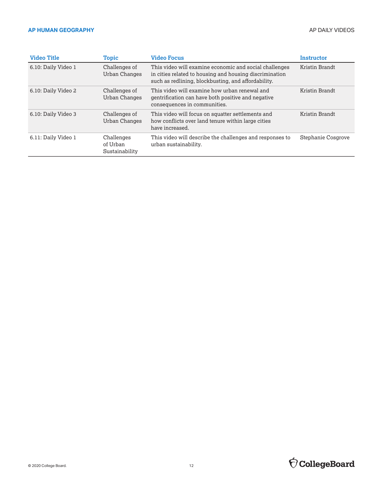| <b>Video Title</b>  | Topic                                    | <b>Video Focus</b>                                                                                                                                                       | <b>Instructor</b>  |
|---------------------|------------------------------------------|--------------------------------------------------------------------------------------------------------------------------------------------------------------------------|--------------------|
| 6.10: Daily Video 1 | Challenges of<br>Urban Changes           | This video will examine economic and social challenges<br>in cities related to housing and housing discrimination<br>such as redlining, blockbusting, and affordability. | Kristin Brandt     |
| 6.10: Daily Video 2 | Challenges of<br>Urban Changes           | This video will examine how urban renewal and<br>gentrification can have both positive and negative<br>consequences in communities.                                      | Kristin Brandt     |
| 6.10: Daily Video 3 | Challenges of<br>Urban Changes           | This video will focus on squatter settlements and<br>how conflicts over land tenure within large cities<br>have increased.                                               | Kristin Brandt     |
| 6.11: Daily Video 1 | Challenges<br>of Urban<br>Sustainability | This video will describe the challenges and responses to<br>urban sustainability.                                                                                        | Stephanie Cosgrove |